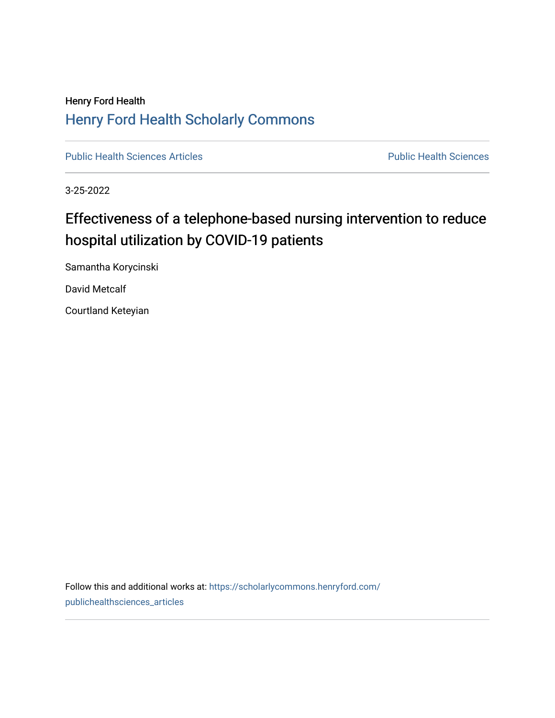## Henry Ford Health [Henry Ford Health Scholarly Commons](https://scholarlycommons.henryford.com/)

[Public Health Sciences Articles](https://scholarlycommons.henryford.com/publichealthsciences_articles) **Public Health Sciences** Public Health Sciences

3-25-2022

## Effectiveness of a telephone-based nursing intervention to reduce hospital utilization by COVID-19 patients

Samantha Korycinski

David Metcalf

Courtland Keteyian

Follow this and additional works at: [https://scholarlycommons.henryford.com/](https://scholarlycommons.henryford.com/publichealthsciences_articles?utm_source=scholarlycommons.henryford.com%2Fpublichealthsciences_articles%2F314&utm_medium=PDF&utm_campaign=PDFCoverPages) [publichealthsciences\\_articles](https://scholarlycommons.henryford.com/publichealthsciences_articles?utm_source=scholarlycommons.henryford.com%2Fpublichealthsciences_articles%2F314&utm_medium=PDF&utm_campaign=PDFCoverPages)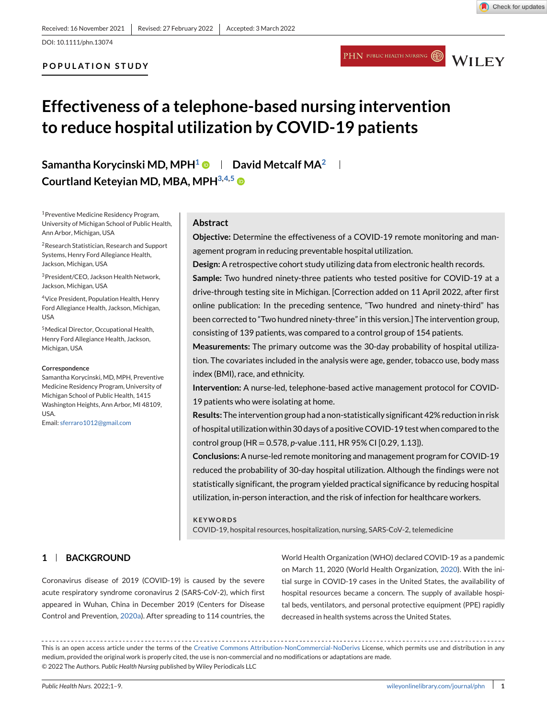DOI: 10.1111/phn.13074

## **POPULATION STUDY**





# **Effectiveness of a telephone-based nursing intervention to reduce hospital utilization by COVID-19 patients**

**Samantha Korycinski MD, MPH1 David Metcalf MA2 Courtland Keteyian MD, MBA, MPH3,4,5**

1Preventive Medicine Residency Program, University of Michigan School of Public Health, Ann Arbor, Michigan, USA

2Research Statistician, Research and Support Systems, Henry Ford Allegiance Health, Jackson, Michigan, USA

3President/CEO, Jackson Health Network, Jackson, Michigan, USA

4Vice President, Population Health, Henry Ford Allegiance Health, Jackson, Michigan, USA

5Medical Director, Occupational Health, Henry Ford Allegiance Health, Jackson, Michigan, USA

#### **Correspondence**

Samantha Korycinski, MD, MPH, Preventive Medicine Residency Program, University of Michigan School of Public Health, 1415 Washington Heights, Ann Arbor, MI 48109, USA.

Email: [sferraro1012@gmail.com](mailto:sferraro1012@gmail.com)

**1 BACKGROUND**

## **Abstract**

**Objective:** Determine the effectiveness of a COVID-19 remote monitoring and management program in reducing preventable hospital utilization.

**Design:** A retrospective cohort study utilizing data from electronic health records.

**Sample:** Two hundred ninety-three patients who tested positive for COVID-19 at a drive-through testing site in Michigan. [Correction added on 11 April 2022, after first online publication: In the preceding sentence, "Two hundred and ninety-third" has been corrected to "Two hundred ninety-three" in this version.] The intervention group, consisting of 139 patients, was compared to a control group of 154 patients.

**Measurements:** The primary outcome was the 30-day probability of hospital utilization. The covariates included in the analysis were age, gender, tobacco use, body mass index (BMI), race, and ethnicity.

**Intervention:** A nurse-led, telephone-based active management protocol for COVID-19 patients who were isolating at home.

**Results:** The intervention group had a non-statistically significant 42% reduction in risk of hospital utilization within 30 days of a positive COVID-19 test when compared to the control group (HR = 0.578, *p*-value .111, HR 95% CI [0.29, 1.13]).

**Conclusions:** A nurse-led remote monitoring and management program for COVID-19 reduced the probability of 30-day hospital utilization. Although the findings were not statistically significant, the program yielded practical significance by reducing hospital utilization, in-person interaction, and the risk of infection for healthcare workers.

#### **KEYWORDS**

COVID-19, hospital resources, hospitalization, nursing, SARS-CoV-2, telemedicine

Coronavirus disease of 2019 (COVID-19) is caused by the severe acute respiratory syndrome coronavirus 2 (SARS-CoV-2), which first appeared in Wuhan, China in December 2019 (Centers for Disease Control and Prevention, [2020a\)](#page-7-0). After spreading to 114 countries, the World Health Organization (WHO) declared COVID-19 as a pandemic on March 11, 2020 (World Health Organization, [2020\)](#page-8-0). With the initial surge in COVID-19 cases in the United States, the availability of hospital resources became a concern. The supply of available hospital beds, ventilators, and personal protective equipment (PPE) rapidly decreased in health systems across the United States.

This is an open access article under the terms of the [Creative Commons Attribution-NonCommercial-NoDerivs](http://creativecommons.org/licenses/by-nc-nd/4.0/) License, which permits use and distribution in any medium, provided the original work is properly cited, the use is non-commercial and no modifications or adaptations are made. © 2022 The Authors. *Public Health Nursing* published by Wiley Periodicals LLC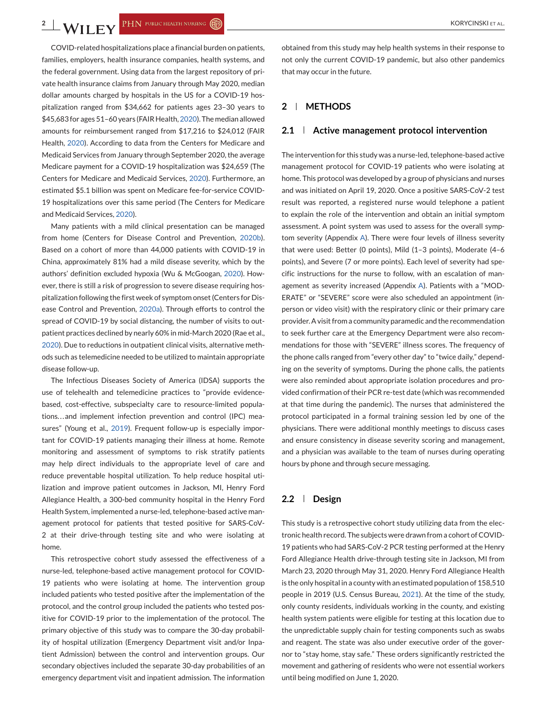COVID-related hospitalizations place a financial burden on patients, families, employers, health insurance companies, health systems, and the federal government. Using data from the largest repository of private health insurance claims from January through May 2020, median dollar amounts charged by hospitals in the US for a COVID-19 hospitalization ranged from \$34,662 for patients ages 23–30 years to \$45,683 for ages 51–60 years (FAIR Health, [2020\)](#page-7-0). The median allowed amounts for reimbursement ranged from \$17,216 to \$24,012 (FAIR Health, [2020\)](#page-7-0). According to data from the Centers for Medicare and Medicaid Services from January through September 2020, the average Medicare payment for a COVID-19 hospitalization was \$24,659 (The Centers for Medicare and Medicaid Services, [2020\)](#page-8-0). Furthermore, an estimated \$5.1 billion was spent on Medicare fee-for-service COVID-19 hospitalizations over this same period (The Centers for Medicare and Medicaid Services, [2020\)](#page-8-0).

Many patients with a mild clinical presentation can be managed from home (Centers for Disease Control and Prevention, [2020b\)](#page-7-0). Based on a cohort of more than 44,000 patients with COVID-19 in China, approximately 81% had a mild disease severity, which by the authors' definition excluded hypoxia (Wu & McGoogan, [2020\)](#page-8-0). However, there is still a risk of progression to severe disease requiring hospitalization following the first week of symptom onset (Centers for Disease Control and Prevention, [2020a\)](#page-7-0). Through efforts to control the spread of COVID-19 by social distancing, the number of visits to outpatient practices declined by nearly 60% in mid-March 2020 (Rae et al., [2020\)](#page-8-0). Due to reductions in outpatient clinical visits, alternative methods such as telemedicine needed to be utilized to maintain appropriate disease follow-up.

The Infectious Diseases Society of America (IDSA) supports the use of telehealth and telemedicine practices to "provide evidencebased, cost-effective, subspecialty care to resource-limited populations...and implement infection prevention and control (IPC) measures" (Young et al., [2019\)](#page-8-0). Frequent follow-up is especially important for COVID-19 patients managing their illness at home. Remote monitoring and assessment of symptoms to risk stratify patients may help direct individuals to the appropriate level of care and reduce preventable hospital utilization. To help reduce hospital utilization and improve patient outcomes in Jackson, MI, Henry Ford Allegiance Health, a 300-bed community hospital in the Henry Ford Health System, implemented a nurse-led, telephone-based active management protocol for patients that tested positive for SARS-CoV-2 at their drive-through testing site and who were isolating at home.

This retrospective cohort study assessed the effectiveness of a nurse-led, telephone-based active management protocol for COVID-19 patients who were isolating at home. The intervention group included patients who tested positive after the implementation of the protocol, and the control group included the patients who tested positive for COVID-19 prior to the implementation of the protocol. The primary objective of this study was to compare the 30-day probability of hospital utilization (Emergency Department visit and/or Inpatient Admission) between the control and intervention groups. Our secondary objectives included the separate 30-day probabilities of an emergency department visit and inpatient admission. The information

obtained from this study may help health systems in their response to not only the current COVID-19 pandemic, but also other pandemics that may occur in the future.

## **2 METHODS**

#### **2.1 Active management protocol intervention**

The intervention for this study was a nurse-led, telephone-based active management protocol for COVID-19 patients who were isolating at home. This protocol was developed by a group of physicians and nurses and was initiated on April 19, 2020. Once a positive SARS-CoV-2 test result was reported, a registered nurse would telephone a patient to explain the role of the intervention and obtain an initial symptom assessment. A point system was used to assess for the overall symptom severity (Appendix [A\)](#page-8-0). There were four levels of illness severity that were used: Better (0 points), Mild (1–3 points), Moderate (4–6 points), and Severe (7 or more points). Each level of severity had specific instructions for the nurse to follow, with an escalation of management as severity increased (Appendix [A\)](#page-8-0). Patients with a "MOD-ERATE" or "SEVERE" score were also scheduled an appointment (inperson or video visit) with the respiratory clinic or their primary care provider. A visit from a community paramedic and the recommendation to seek further care at the Emergency Department were also recommendations for those with "SEVERE" illness scores. The frequency of the phone calls ranged from "every other day" to "twice daily," depending on the severity of symptoms. During the phone calls, the patients were also reminded about appropriate isolation procedures and provided confirmation of their PCR re-test date (which was recommended at that time during the pandemic). The nurses that administered the protocol participated in a formal training session led by one of the physicians. There were additional monthly meetings to discuss cases and ensure consistency in disease severity scoring and management, and a physician was available to the team of nurses during operating hours by phone and through secure messaging.

#### **2.2 Design**

This study is a retrospective cohort study utilizing data from the electronic health record. The subjects were drawn from a cohort of COVID-19 patients who had SARS-CoV-2 PCR testing performed at the Henry Ford Allegiance Health drive-through testing site in Jackson, MI from March 23, 2020 through May 31, 2020. Henry Ford Allegiance Health is the only hospital in a county with an estimated population of 158,510 people in 2019 (U.S. Census Bureau, [2021\)](#page-8-0). At the time of the study, only county residents, individuals working in the county, and existing health system patients were eligible for testing at this location due to the unpredictable supply chain for testing components such as swabs and reagent. The state was also under executive order of the governor to "stay home, stay safe." These orders significantly restricted the movement and gathering of residents who were not essential workers until being modified on June 1, 2020.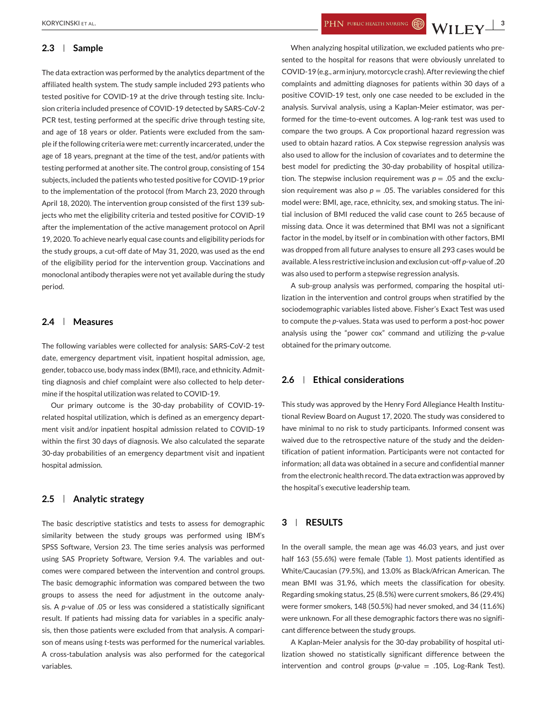#### **2.3 Sample**

The data extraction was performed by the analytics department of the affiliated health system. The study sample included 293 patients who tested positive for COVID-19 at the drive through testing site. Inclusion criteria included presence of COVID-19 detected by SARS-CoV-2 PCR test, testing performed at the specific drive through testing site, and age of 18 years or older. Patients were excluded from the sample if the following criteria were met: currently incarcerated, under the age of 18 years, pregnant at the time of the test, and/or patients with testing performed at another site. The control group, consisting of 154 subjects, included the patients who tested positive for COVID-19 prior to the implementation of the protocol (from March 23, 2020 through April 18, 2020). The intervention group consisted of the first 139 subjects who met the eligibility criteria and tested positive for COVID-19 after the implementation of the active management protocol on April 19, 2020. To achieve nearly equal case counts and eligibility periods for the study groups, a cut-off date of May 31, 2020, was used as the end of the eligibility period for the intervention group. Vaccinations and monoclonal antibody therapies were not yet available during the study period.

## **2.4 Measures**

The following variables were collected for analysis: SARS-CoV-2 test date, emergency department visit, inpatient hospital admission, age, gender, tobacco use, body mass index (BMI), race, and ethnicity. Admitting diagnosis and chief complaint were also collected to help determine if the hospital utilization was related to COVID-19.

Our primary outcome is the 30-day probability of COVID-19 related hospital utilization, which is defined as an emergency department visit and/or inpatient hospital admission related to COVID-19 within the first 30 days of diagnosis. We also calculated the separate 30-day probabilities of an emergency department visit and inpatient hospital admission.

## **2.5 Analytic strategy**

The basic descriptive statistics and tests to assess for demographic similarity between the study groups was performed using IBM's SPSS Software, Version 23. The time series analysis was performed using SAS Propriety Software, Version 9.4. The variables and outcomes were compared between the intervention and control groups. The basic demographic information was compared between the two groups to assess the need for adjustment in the outcome analysis. A *p*-value of .05 or less was considered a statistically significant result. If patients had missing data for variables in a specific analysis, then those patients were excluded from that analysis. A comparison of means using *t*-tests was performed for the numerical variables. A cross-tabulation analysis was also performed for the categorical variables.

When analyzing hospital utilization, we excluded patients who presented to the hospital for reasons that were obviously unrelated to COVID-19 (e.g., arm injury, motorcycle crash). After reviewing the chief complaints and admitting diagnoses for patients within 30 days of a positive COVID-19 test, only one case needed to be excluded in the analysis. Survival analysis, using a Kaplan-Meier estimator, was performed for the time-to-event outcomes. A log-rank test was used to compare the two groups. A Cox proportional hazard regression was used to obtain hazard ratios. A Cox stepwise regression analysis was also used to allow for the inclusion of covariates and to determine the best model for predicting the 30-day probability of hospital utilization. The stepwise inclusion requirement was  $p = .05$  and the exclusion requirement was also  $p = 0.05$ . The variables considered for this model were: BMI, age, race, ethnicity, sex, and smoking status. The initial inclusion of BMI reduced the valid case count to 265 because of missing data. Once it was determined that BMI was not a significant factor in the model, by itself or in combination with other factors, BMI was dropped from all future analyses to ensure all 293 cases would be available. A less restrictive inclusion and exclusion cut-off *p*-value of .20 was also used to perform a stepwise regression analysis.

A sub-group analysis was performed, comparing the hospital utilization in the intervention and control groups when stratified by the sociodemographic variables listed above. Fisher's Exact Test was used to compute the *p*-values. Stata was used to perform a post-hoc power analysis using the "power cox" command and utilizing the *p*-value obtained for the primary outcome.

## **2.6 Ethical considerations**

This study was approved by the Henry Ford Allegiance Health Institutional Review Board on August 17, 2020. The study was considered to have minimal to no risk to study participants. Informed consent was waived due to the retrospective nature of the study and the deidentification of patient information. Participants were not contacted for information; all data was obtained in a secure and confidential manner from the electronic health record. The data extraction was approved by the hospital's executive leadership team.

## **3 RESULTS**

In the overall sample, the mean age was 46.03 years, and just over half 163 (55.6%) were female (Table [1\)](#page-4-0). Most patients identified as White/Caucasian (79.5%), and 13.0% as Black/African American. The mean BMI was 31.96, which meets the classification for obesity. Regarding smoking status, 25 (8.5%) were current smokers, 86 (29.4%) were former smokers, 148 (50.5%) had never smoked, and 34 (11.6%) were unknown. For all these demographic factors there was no significant difference between the study groups.

A Kaplan-Meier analysis for the 30-day probability of hospital utilization showed no statistically significant difference between the intervention and control groups (*p*-value = .105, Log-Rank Test).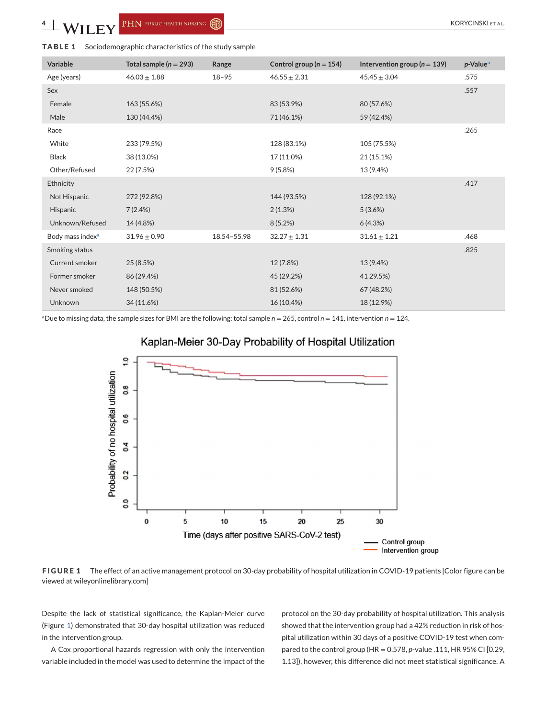<span id="page-4-0"></span>**4 KALLERY** PHN PUBLIC HEALTH NURSING ( $\bigcirc$ ) **EXALLERY** PHN PUBLIC HEALTH NURSING ( $\bigcirc$ )

#### **TABLE 1** Sociodemographic characteristics of the study sample

| Variable                     | Total sample ( $n = 293$ ) | Range       | Control group ( $n = 154$ ) | Intervention group ( $n = 139$ ) | $p$ -Value <sup>a</sup> |
|------------------------------|----------------------------|-------------|-----------------------------|----------------------------------|-------------------------|
| Age (years)                  | $46.03 \pm 1.88$           | $18 - 95$   | $46.55 \pm 2.31$            | $45.45 \pm 3.04$                 | .575                    |
| Sex                          |                            |             |                             |                                  | .557                    |
| Female                       | 163 (55.6%)                |             | 83 (53.9%)                  | 80 (57.6%)                       |                         |
| Male                         | 130 (44.4%)                |             | 71 (46.1%)                  | 59 (42.4%)                       |                         |
| Race                         |                            |             |                             |                                  | .265                    |
| White                        | 233 (79.5%)                |             | 128 (83.1%)                 | 105 (75.5%)                      |                         |
| <b>Black</b>                 | 38 (13.0%)                 |             | 17 (11.0%)                  | 21 (15.1%)                       |                         |
| Other/Refused                | 22 (7.5%)                  |             | 9(5.8%)                     | 13 (9.4%)                        |                         |
| Ethnicity                    |                            |             |                             |                                  | .417                    |
| Not Hispanic                 | 272 (92.8%)                |             | 144 (93.5%)                 | 128 (92.1%)                      |                         |
| Hispanic                     | 7(2.4%)                    |             | 2(1.3%)                     | 5(3.6%)                          |                         |
| Unknown/Refused              | 14 (4.8%)                  |             | 8(5.2%)                     | 6(4.3%)                          |                         |
| Body mass index <sup>a</sup> | $31.96 \pm 0.90$           | 18.54-55.98 | $32.27 \pm 1.31$            | $31.61 \pm 1.21$                 | .468                    |
| Smoking status               |                            |             |                             |                                  | .825                    |
| Current smoker               | 25 (8.5%)                  |             | 12 (7.8%)                   | 13 (9.4%)                        |                         |
| Former smoker                | 86 (29.4%)                 |             | 45 (29.2%)                  | 41 29.5%)                        |                         |
| Never smoked                 | 148 (50.5%)                |             | 81 (52.6%)                  | 67 (48.2%)                       |                         |
| Unknown                      | 34 (11.6%)                 |             | 16 (10.4%)                  | 18 (12.9%)                       |                         |

<sup>a</sup>Due to missing data, the sample sizes for BMI are the following: total sample  $n = 265$ , control  $n = 141$ , intervention  $n = 124$ .





**FIGURE 1** The effect of an active management protocol on 30-day probability of hospital utilization in COVID-19 patients [Color figure can be viewed at wileyonlinelibrary.com]

Despite the lack of statistical significance, the Kaplan-Meier curve (Figure 1) demonstrated that 30-day hospital utilization was reduced in the intervention group.

A Cox proportional hazards regression with only the intervention variable included in the model was used to determine the impact of the

protocol on the 30-day probability of hospital utilization. This analysis showed that the intervention group had a 42% reduction in risk of hospital utilization within 30 days of a positive COVID-19 test when compared to the control group (HR = 0.578, *p*-value .111, HR 95% CI [0.29, 1.13]), however, this difference did not meet statistical significance. A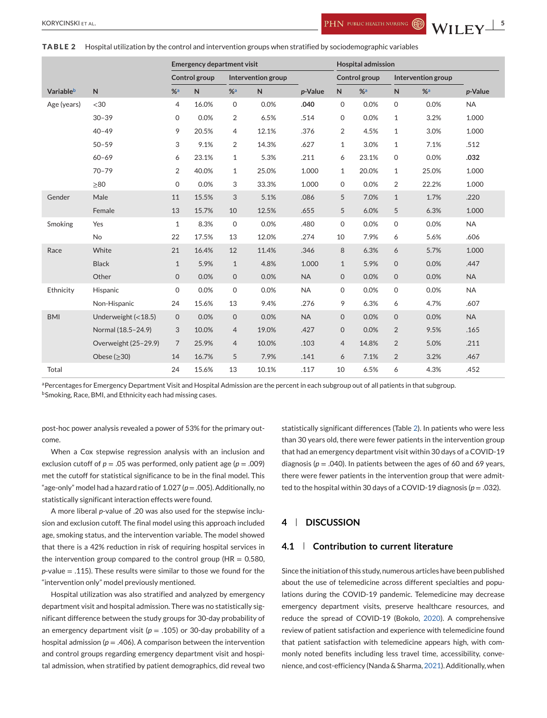**TABLE 2** Hospital utilization by the control and intervention groups when stratified by sociodemographic variables

|             |                       | <b>Emergency department visit</b> |               |                | <b>Hospital admission</b> |           |                |       |                    |       |           |
|-------------|-----------------------|-----------------------------------|---------------|----------------|---------------------------|-----------|----------------|-------|--------------------|-------|-----------|
|             |                       |                                   | Control group |                | Intervention group        |           | Control group  |       | Intervention group |       |           |
| Variableb   | N                     | $% =$                             | $\mathsf{N}$  | $% =$          | N                         | p-Value   | $\mathsf{N}$   | $% =$ | $\mathsf{N}$       | $% =$ | p-Value   |
| Age (years) | $<$ 30                | $\overline{4}$                    | 16.0%         | $\mathbf 0$    | 0.0%                      | .040      | $\mathbf 0$    | 0.0%  | $\mathbf 0$        | 0.0%  | <b>NA</b> |
|             | $30 - 39$             | 0                                 | 0.0%          | 2              | 6.5%                      | .514      | 0              | 0.0%  | $\mathbf{1}$       | 3.2%  | 1.000     |
|             | $40 - 49$             | 9                                 | 20.5%         | $\overline{4}$ | 12.1%                     | .376      | $\overline{2}$ | 4.5%  | $\mathbf{1}$       | 3.0%  | 1.000     |
|             | $50 - 59$             | 3                                 | 9.1%          | 2              | 14.3%                     | .627      | 1              | 3.0%  | $\mathbf{1}$       | 7.1%  | .512      |
|             | $60 - 69$             | 6                                 | 23.1%         | $\mathbf{1}$   | 5.3%                      | .211      | 6              | 23.1% | $\mathbf 0$        | 0.0%  | .032      |
|             | $70 - 79$             | $\overline{2}$                    | 40.0%         | $\mathbf{1}$   | 25.0%                     | 1.000     | 1              | 20.0% | $\mathbf{1}$       | 25.0% | 1.000     |
|             | >80                   | 0                                 | 0.0%          | 3              | 33.3%                     | 1.000     | $\mathbf 0$    | 0.0%  | 2                  | 22.2% | 1.000     |
| Gender      | Male                  | 11                                | 15.5%         | 3              | 5.1%                      | .086      | 5              | 7.0%  | $\mathbf{1}$       | 1.7%  | .220      |
|             | Female                | 13                                | 15.7%         | 10             | 12.5%                     | .655      | 5              | 6.0%  | 5                  | 6.3%  | 1.000     |
| Smoking     | Yes                   | $\mathbf{1}$                      | 8.3%          | $\mathbf 0$    | 0.0%                      | .480      | 0              | 0.0%  | $\mathbf 0$        | 0.0%  | <b>NA</b> |
|             | <b>No</b>             | 22                                | 17.5%         | 13             | 12.0%                     | .274      | 10             | 7.9%  | 6                  | 5.6%  | .606      |
| Race        | White                 | 21                                | 16.4%         | 12             | 11.4%                     | .346      | 8              | 6.3%  | 6                  | 5.7%  | 1.000     |
|             | <b>Black</b>          | $\mathbf{1}$                      | 5.9%          | $\mathbf{1}$   | 4.8%                      | 1.000     | $\mathbf{1}$   | 5.9%  | $\mathbf{O}$       | 0.0%  | .447      |
|             | Other                 | $\mathsf{O}$                      | 0.0%          | $\mathsf{O}$   | 0.0%                      | <b>NA</b> | 0              | 0.0%  | $\mathbf{0}$       | 0.0%  | <b>NA</b> |
| Ethnicity   | Hispanic              | 0                                 | 0.0%          | $\mathbf 0$    | 0.0%                      | <b>NA</b> | $\mathbf 0$    | 0.0%  | $\mathbf 0$        | 0.0%  | <b>NA</b> |
|             | Non-Hispanic          | 24                                | 15.6%         | 13             | 9.4%                      | .276      | 9              | 6.3%  | 6                  | 4.7%  | .607      |
| <b>BMI</b>  | Underweight $(<18.5)$ | $\mathbf{O}$                      | 0.0%          | $\mathbf{O}$   | 0.0%                      | <b>NA</b> | $\mathbf{O}$   | 0.0%  | $\mathbf{O}$       | 0.0%  | <b>NA</b> |
|             | Normal (18.5-24.9)    | 3                                 | 10.0%         | 4              | 19.0%                     | .427      | $\mathbf 0$    | 0.0%  | 2                  | 9.5%  | .165      |
|             | Overweight (25-29.9)  | $\overline{7}$                    | 25.9%         | $\overline{4}$ | 10.0%                     | .103      | $\overline{4}$ | 14.8% | 2                  | 5.0%  | .211      |
|             | Obese $(\geq 30)$     | 14                                | 16.7%         | 5              | 7.9%                      | .141      | 6              | 7.1%  | $\overline{2}$     | 3.2%  | .467      |
| Total       |                       | 24                                | 15.6%         | 13             | 10.1%                     | .117      | 10             | 6.5%  | 6                  | 4.3%  | .452      |

a Percentages for Emergency Department Visit and Hospital Admission are the percent in each subgroup out of all patients in that subgroup. bSmoking, Race, BMI, and Ethnicity each had missing cases.

post-hoc power analysis revealed a power of 53% for the primary outcome.

When a Cox stepwise regression analysis with an inclusion and exclusion cutoff of  $p = .05$  was performed, only patient age ( $p = .009$ ) met the cutoff for statistical significance to be in the final model. This "age-only" model had a hazard ratio of 1.027 (*p* = .005). Additionally, no statistically significant interaction effects were found.

A more liberal *p*-value of .20 was also used for the stepwise inclusion and exclusion cutoff. The final model using this approach included age, smoking status, and the intervention variable. The model showed that there is a 42% reduction in risk of requiring hospital services in the intervention group compared to the control group ( $HR = 0.580$ , *p*-value = .115). These results were similar to those we found for the "intervention only" model previously mentioned.

Hospital utilization was also stratified and analyzed by emergency department visit and hospital admission. There was no statistically significant difference between the study groups for 30-day probability of an emergency department visit ( $p = .105$ ) or 30-day probability of a hospital admission ( $p = .406$ ). A comparison between the intervention and control groups regarding emergency department visit and hospital admission, when stratified by patient demographics, did reveal two

statistically significant differences (Table 2). In patients who were less than 30 years old, there were fewer patients in the intervention group that had an emergency department visit within 30 days of a COVID-19 diagnosis ( $p = .040$ ). In patients between the ages of 60 and 69 years, there were fewer patients in the intervention group that were admitted to the hospital within 30 days of a COVID-19 diagnosis (*p* = .032).

## **4 DISCUSSION**

#### **4.1 Contribution to current literature**

Since the initiation of this study, numerous articles have been published about the use of telemedicine across different specialties and populations during the COVID-19 pandemic. Telemedicine may decrease emergency department visits, preserve healthcare resources, and reduce the spread of COVID-19 (Bokolo, [2020\)](#page-7-0). A comprehensive review of patient satisfaction and experience with telemedicine found that patient satisfaction with telemedicine appears high, with commonly noted benefits including less travel time, accessibility, convenience, and cost-efficiency (Nanda & Sharma, [2021\)](#page-8-0). Additionally, when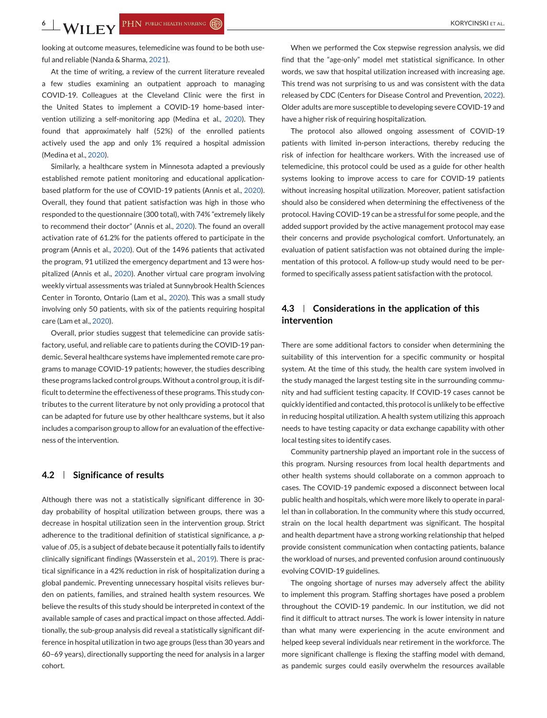**6** KORYCINSKI ET AL.

looking at outcome measures, telemedicine was found to be both useful and reliable (Nanda & Sharma, [2021\)](#page-8-0).

At the time of writing, a review of the current literature revealed a few studies examining an outpatient approach to managing COVID-19. Colleagues at the Cleveland Clinic were the first in the United States to implement a COVID-19 home-based intervention utilizing a self-monitoring app (Medina et al., [2020\)](#page-7-0). They found that approximately half (52%) of the enrolled patients actively used the app and only 1% required a hospital admission (Medina et al., [2020\)](#page-7-0).

Similarly, a healthcare system in Minnesota adapted a previously established remote patient monitoring and educational applicationbased platform for the use of COVID-19 patients (Annis et al., [2020\)](#page-7-0). Overall, they found that patient satisfaction was high in those who responded to the questionnaire (300 total), with 74% "extremely likely to recommend their doctor" (Annis et al., [2020\)](#page-7-0). The found an overall activation rate of 61.2% for the patients offered to participate in the program (Annis et al., [2020\)](#page-7-0). Out of the 1496 patients that activated the program, 91 utilized the emergency department and 13 were hospitalized (Annis et al., [2020\)](#page-7-0). Another virtual care program involving weekly virtual assessments was trialed at Sunnybrook Health Sciences Center in Toronto, Ontario (Lam et al., [2020\)](#page-7-0). This was a small study involving only 50 patients, with six of the patients requiring hospital care (Lam et al., [2020\)](#page-7-0).

Overall, prior studies suggest that telemedicine can provide satisfactory, useful, and reliable care to patients during the COVID-19 pandemic. Several healthcare systems have implemented remote care programs to manage COVID-19 patients; however, the studies describing these programs lacked control groups.Without a control group, it is difficult to determine the effectiveness of these programs. This study contributes to the current literature by not only providing a protocol that can be adapted for future use by other healthcare systems, but it also includes a comparison group to allow for an evaluation of the effectiveness of the intervention.

#### **4.2 Significance of results**

Although there was not a statistically significant difference in 30 day probability of hospital utilization between groups, there was a decrease in hospital utilization seen in the intervention group. Strict adherence to the traditional definition of statistical significance, a *p*value of .05, is a subject of debate because it potentially fails to identify clinically significant findings (Wasserstein et al., [2019\)](#page-8-0). There is practical significance in a 42% reduction in risk of hospitalization during a global pandemic. Preventing unnecessary hospital visits relieves burden on patients, families, and strained health system resources. We believe the results of this study should be interpreted in context of the available sample of cases and practical impact on those affected. Additionally, the sub-group analysis did reveal a statistically significant difference in hospital utilization in two age groups (less than 30 years and 60–69 years), directionally supporting the need for analysis in a larger cohort.

When we performed the Cox stepwise regression analysis, we did find that the "age-only" model met statistical significance. In other words, we saw that hospital utilization increased with increasing age. This trend was not surprising to us and was consistent with the data released by CDC (Centers for Disease Control and Prevention, [2022\)](#page-7-0). Older adults are more susceptible to developing severe COVID-19 and have a higher risk of requiring hospitalization.

The protocol also allowed ongoing assessment of COVID-19 patients with limited in-person interactions, thereby reducing the risk of infection for healthcare workers. With the increased use of telemedicine, this protocol could be used as a guide for other health systems looking to improve access to care for COVID-19 patients without increasing hospital utilization. Moreover, patient satisfaction should also be considered when determining the effectiveness of the protocol. Having COVID-19 can be a stressful for some people, and the added support provided by the active management protocol may ease their concerns and provide psychological comfort. Unfortunately, an evaluation of patient satisfaction was not obtained during the implementation of this protocol. A follow-up study would need to be performed to specifically assess patient satisfaction with the protocol.

## **4.3 Considerations in the application of this intervention**

There are some additional factors to consider when determining the suitability of this intervention for a specific community or hospital system. At the time of this study, the health care system involved in the study managed the largest testing site in the surrounding community and had sufficient testing capacity. If COVID-19 cases cannot be quickly identified and contacted, this protocol is unlikely to be effective in reducing hospital utilization. A health system utilizing this approach needs to have testing capacity or data exchange capability with other local testing sites to identify cases.

Community partnership played an important role in the success of this program. Nursing resources from local health departments and other health systems should collaborate on a common approach to cases. The COVID-19 pandemic exposed a disconnect between local public health and hospitals, which were more likely to operate in parallel than in collaboration. In the community where this study occurred, strain on the local health department was significant. The hospital and health department have a strong working relationship that helped provide consistent communication when contacting patients, balance the workload of nurses, and prevented confusion around continuously evolving COVID-19 guidelines.

The ongoing shortage of nurses may adversely affect the ability to implement this program. Staffing shortages have posed a problem throughout the COVID-19 pandemic. In our institution, we did not find it difficult to attract nurses. The work is lower intensity in nature than what many were experiencing in the acute environment and helped keep several individuals near retirement in the workforce. The more significant challenge is flexing the staffing model with demand, as pandemic surges could easily overwhelm the resources available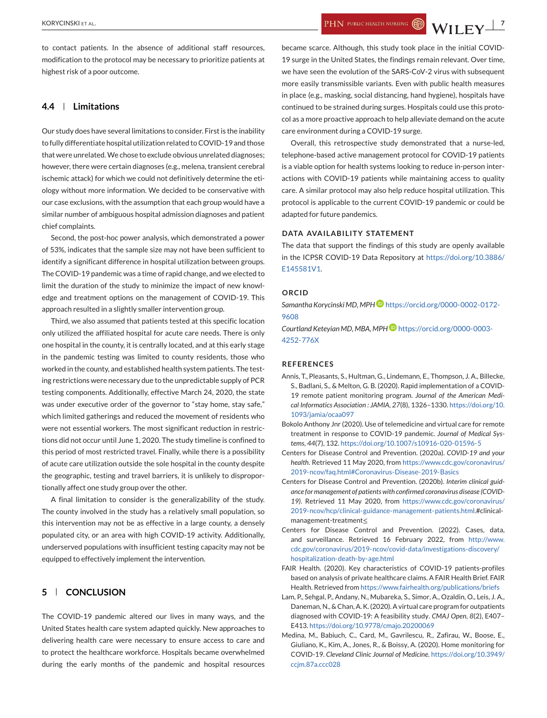<span id="page-7-0"></span>to contact patients. In the absence of additional staff resources, modification to the protocol may be necessary to prioritize patients at highest risk of a poor outcome.

## **4.4 Limitations**

Our study does have several limitations to consider. First is the inability to fully differentiate hospital utilization related to COVID-19 and those that were unrelated.We chose to exclude obvious unrelated diagnoses; however, there were certain diagnoses (e.g., melena, transient cerebral ischemic attack) for which we could not definitively determine the etiology without more information. We decided to be conservative with our case exclusions, with the assumption that each group would have a similar number of ambiguous hospital admission diagnoses and patient chief complaints.

Second, the post-hoc power analysis, which demonstrated a power of 53%, indicates that the sample size may not have been sufficient to identify a significant difference in hospital utilization between groups. The COVID-19 pandemic was a time of rapid change, and we elected to limit the duration of the study to minimize the impact of new knowledge and treatment options on the management of COVID-19. This approach resulted in a slightly smaller intervention group.

Third, we also assumed that patients tested at this specific location only utilized the affiliated hospital for acute care needs. There is only one hospital in the county, it is centrally located, and at this early stage in the pandemic testing was limited to county residents, those who worked in the county, and established health system patients. The testing restrictions were necessary due to the unpredictable supply of PCR testing components. Additionally, effective March 24, 2020, the state was under executive order of the governor to "stay home, stay safe," which limited gatherings and reduced the movement of residents who were not essential workers. The most significant reduction in restrictions did not occur until June 1, 2020. The study timeline is confined to this period of most restricted travel. Finally, while there is a possibility of acute care utilization outside the sole hospital in the county despite the geographic, testing and travel barriers, it is unlikely to disproportionally affect one study group over the other.

A final limitation to consider is the generalizability of the study. The county involved in the study has a relatively small population, so this intervention may not be as effective in a large county, a densely populated city, or an area with high COVID-19 activity. Additionally, underserved populations with insufficient testing capacity may not be equipped to effectively implement the intervention.

## **5 CONCLUSION**

The COVID-19 pandemic altered our lives in many ways, and the United States health care system adapted quickly. New approaches to delivering health care were necessary to ensure access to care and to protect the healthcare workforce. Hospitals became overwhelmed during the early months of the pandemic and hospital resources

became scarce. Although, this study took place in the initial COVID-19 surge in the United States, the findings remain relevant. Over time, we have seen the evolution of the SARS-CoV-2 virus with subsequent more easily transmissible variants. Even with public health measures in place (e.g., masking, social distancing, hand hygiene), hospitals have continued to be strained during surges. Hospitals could use this protocol as a more proactive approach to help alleviate demand on the acute care environment during a COVID-19 surge.

Overall, this retrospective study demonstrated that a nurse-led, telephone-based active management protocol for COVID-19 patients is a viable option for health systems looking to reduce in-person interactions with COVID-19 patients while maintaining access to quality care. A similar protocol may also help reduce hospital utilization. This protocol is applicable to the current COVID-19 pandemic or could be adapted for future pandemics.

#### **DATA AVAILABILITY STATEMENT**

The data that support the findings of this study are openly available in the ICPSR COVID-19 Data Repository at [https://doi.org/10.3886/](https://doi.org/10.3886/E145581V1) [E145581V1.](https://doi.org/10.3886/E145581V1)

#### **ORCID**

*Samantha Korycinski MD, MPH* [https://orcid.org/0000-0002-0172-](https://orcid.org/0000-0002-0172-9608) [9608](https://orcid.org/0000-0002-0172-9608)

*Courtland Keteyian MD, MBA, MPH* [https://orcid.org/0000-0003-](https://orcid.org/0000-0003-4252-776X) [4252-776X](https://orcid.org/0000-0003-4252-776X)

#### **REFERENCES**

- Annis, T., Pleasants, S., Hultman, G., Lindemann, E., Thompson, J. A., Billecke, S., Badlani, S., & Melton, G. B. (2020). Rapid implementation of a COVID-19 remote patient monitoring program. *Journal of the American Medical Informatics Association : JAMIA*, *27*(8), 1326–1330. [https://doi.org/10.](https://doi.org/10.1093/jamia/ocaa097) [1093/jamia/ocaa097](https://doi.org/10.1093/jamia/ocaa097)
- Bokolo Anthony Jnr (2020). Use of telemedicine and virtual care for remote treatment in response to COVID-19 pandemic. *Journal of Medical Systems*, *44*(7), 132. <https://doi.org/10.1007/s10916-020-01596-5>
- Centers for Disease Control and Prevention. (2020a). *COVID-19 and your health*. Retrieved 11 May 2020, from [https://www.cdc.gov/coronavirus/](https://www.cdc.gov/coronavirus/2019-ncov/faq.html#Coronavirus-Disease-2019-Basics) [2019-ncov/faq.html#Coronavirus-Disease-2019-Basics](https://www.cdc.gov/coronavirus/2019-ncov/faq.html#Coronavirus-Disease-2019-Basics)
- Centers for Disease Control and Prevention. (2020b). *Interim clinical guidance for management of patients with confirmed coronavirus disease (COVID-19)*. Retrieved 11 May 2020, from [https://www.cdc.gov/coronavirus/](https://www.cdc.gov/coronavirus/2019-ncov/hcp/clinical-guidance-management-patients.html) [2019-ncov/hcp/clinical-guidance-management-patients.html.](https://www.cdc.gov/coronavirus/2019-ncov/hcp/clinical-guidance-management-patients.html)#clinicalmanagement-treatment≤
- Centers for Disease Control and Prevention. (2022). Cases, data, and surveillance. Retrieved 16 February 2022, from [http://www.](http://www.cdc.gov/coronavirus/2019-ncov/covid-data/investigations-discovery/hospitalization-death-by-age.html) [cdc.gov/coronavirus/2019-ncov/covid-data/investigations-discovery/](http://www.cdc.gov/coronavirus/2019-ncov/covid-data/investigations-discovery/hospitalization-death-by-age.html) [hospitalization-death-by-age.html](http://www.cdc.gov/coronavirus/2019-ncov/covid-data/investigations-discovery/hospitalization-death-by-age.html)
- FAIR Health. (2020). Key characteristics of COVID-19 patients-profiles based on analysis of private healthcare claims. A FAIR Health Brief. FAIR Health. Retrieved from <https://www.fairhealth.org/publications/briefs>
- Lam, P., Sehgal, P., Andany, N., Mubareka, S., Simor, A., Ozaldin, O., Leis, J. A., Daneman, N., & Chan, A. K. (2020). A virtual care program for outpatients diagnosed with COVID-19: A feasibility study. *CMAJ Open*, *8*(2), E407– E413. <https://doi.org/10.9778/cmajo.20200069>
- Medina, M., Babiuch, C., Card, M., Gavrilescu, R., Zafirau, W., Boose, E., Giuliano, K., Kim, A., Jones, R., & Boissy, A. (2020). Home monitoring for COVID-19. *Cleveland Clinic Journal of Medicine*. [https://doi.org/10.3949/](https://doi.org/10.3949/ccjm.87a.ccc028) [ccjm.87a.ccc028](https://doi.org/10.3949/ccjm.87a.ccc028)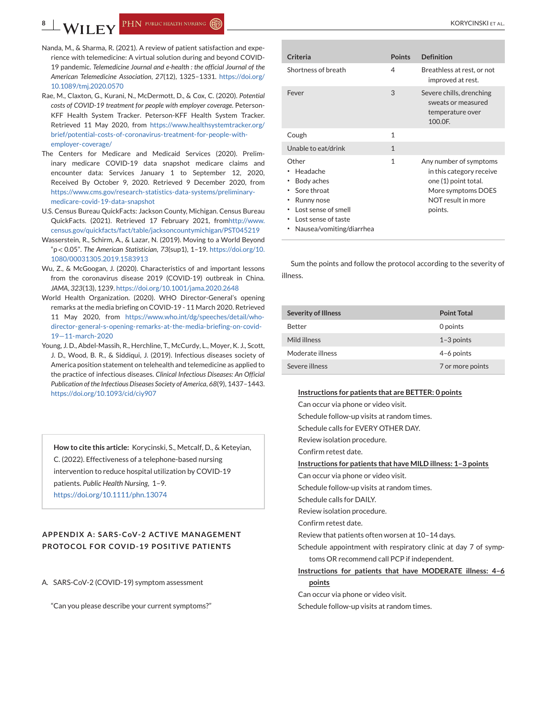- <span id="page-8-0"></span>Nanda, M., & Sharma, R. (2021). A review of patient satisfaction and experience with telemedicine: A virtual solution during and beyond COVID-19 pandemic. *Telemedicine Journal and e-health : the official Journal of the American Telemedicine Association*, *27*(12), 1325–1331. [https://doi.org/](https://doi.org/10.1089/tmj.2020.0570) [10.1089/tmj.2020.0570](https://doi.org/10.1089/tmj.2020.0570)
- Rae, M., Claxton, G., Kurani, N., McDermott, D., & Cox, C. (2020). *Potential costs of COVID-19 treatment for people with employer coverage*. Peterson-KFF Health System Tracker. Peterson-KFF Health System Tracker. Retrieved 11 May 2020, from [https://www.healthsystemtracker.org/](https://www.healthsystemtracker.org/brief/potential-costs-of-coronavirus-treatment-for-people-with-employer-coverage/) [brief/potential-costs-of-coronavirus-treatment-for-people-with](https://www.healthsystemtracker.org/brief/potential-costs-of-coronavirus-treatment-for-people-with-employer-coverage/)[employer-coverage/](https://www.healthsystemtracker.org/brief/potential-costs-of-coronavirus-treatment-for-people-with-employer-coverage/)
- The Centers for Medicare and Medicaid Services (2020). Preliminary medicare COVID-19 data snapshot medicare claims and encounter data: Services January 1 to September 12, 2020, Received By October 9, 2020. Retrieved 9 December 2020, from [https://www.cms.gov/research-statistics-data-systems/preliminary](https://www.cms.gov/research-statistics-data-systems/preliminary-medicare-covid-19-data-snapshot)[medicare-covid-19-data-snapshot](https://www.cms.gov/research-statistics-data-systems/preliminary-medicare-covid-19-data-snapshot)
- U.S. Census Bureau QuickFacts: Jackson County, Michigan. Census Bureau QuickFacts. (2021). Retrieved 17 February 2021, fro[mhttp://www.](http://www.census.gov/quickfacts/fact/table/jacksoncountymichigan/PST045219) [census.gov/quickfacts/fact/table/jacksoncountymichigan/PST045219](http://www.census.gov/quickfacts/fact/table/jacksoncountymichigan/PST045219)
- Wasserstein, R., Schirm, A., & Lazar, N. (2019). Moving to a World Beyond "p < 0.05". *The American Statistician*, *73*(sup1), 1–19. [https://doi.org/10.](https://doi.org/10.1080/00031305.2019.1583913) [1080/00031305.2019.1583913](https://doi.org/10.1080/00031305.2019.1583913)
- Wu, Z., & McGoogan, J. (2020). Characteristics of and important lessons from the coronavirus disease 2019 (COVID-19) outbreak in China. *JAMA*, *323*(13), 1239. <https://doi.org/10.1001/jama.2020.2648>
- World Health Organization. (2020). WHO Director-General's opening remarks at the media briefing on COVID-19 - 11 March 2020. Retrieved 11 May 2020, from [https://www.who.int/dg/speeches/detail/who](https://www.who.int/dg/speeches/detail/who-director-general-s-opening-remarks-at-the-media-briefing-on-covid-19-11-march-2020)[director-general-s-opening-remarks-at-the-media-briefing-on-covid-](https://www.who.int/dg/speeches/detail/who-director-general-s-opening-remarks-at-the-media-briefing-on-covid-19-11-march-2020)[19—11-march-2020](https://www.who.int/dg/speeches/detail/who-director-general-s-opening-remarks-at-the-media-briefing-on-covid-19-11-march-2020)
- Young, J. D., Abdel-Massih, R., Herchline, T., McCurdy, L., Moyer, K. J., Scott, J. D., Wood, B. R., & Siddiqui, J. (2019). Infectious diseases society of America position statement on telehealth and telemedicine as applied to the practice of infectious diseases. *Clinical Infectious Diseases: An Official Publication of the Infectious Diseases Society of America*, *68*(9), 1437–1443. <https://doi.org/10.1093/cid/ciy907>

**How to cite this article:** Korycinski, S., Metcalf, D., & Keteyian, C. (2022). Effectiveness of a telephone-based nursing intervention to reduce hospital utilization by COVID-19 patients. *Public Health Nursing*, 1–9. <https://doi.org/10.1111/phn.13074>

## **APPENDIX A: SARS-CoV-2 ACTIVE MANAGEMENT PROTOCOL FOR COVID-19 POSITIVE PATIENTS**

A. SARS-CoV-2 (COVID-19) symptom assessment

"Can you please describe your current symptoms?"

| Criteria                                                                                                                               | <b>Points</b> | <b>Definition</b>                                                                                                                 |
|----------------------------------------------------------------------------------------------------------------------------------------|---------------|-----------------------------------------------------------------------------------------------------------------------------------|
| Shortness of breath                                                                                                                    | 4             | Breathless at rest, or not<br>improved at rest.                                                                                   |
| Fever                                                                                                                                  | 3             | Severe chills, drenching<br>sweats or measured<br>temperature over<br>100.0F.                                                     |
| Cough                                                                                                                                  | 1             |                                                                                                                                   |
| Unable to eat/drink                                                                                                                    | $\mathbf{1}$  |                                                                                                                                   |
| Other<br>Headache<br>Body aches<br>Sore throat<br>Runny nose<br>Lost sense of smell<br>Lost sense of taste<br>Nausea/vomiting/diarrhea | 1             | Any number of symptoms<br>in this category receive<br>one (1) point total.<br>More symptoms DOES<br>NOT result in more<br>points. |

Sum the points and follow the protocol according to the severity of illness.

| <b>Severity of Illness</b> | <b>Point Total</b> |
|----------------------------|--------------------|
| <b>Better</b>              | 0 points           |
| Mild illness               | $1-3$ points       |
| Moderate illness           | $4-6$ points       |
| Severe illness             | 7 or more points   |

#### **Instructions for patients that are BETTER: 0 points**

Can occur via phone or video visit. Schedule follow-up visits at random times. Schedule calls for EVERY OTHER DAY. Review isolation procedure. Confirm retest date. **Instructions for patients that have MILD illness: 1–3 points** Can occur via phone or video visit. Schedule follow-up visits at random times. Schedule calls for DAILY. Review isolation procedure. Confirm retest date. Review that patients often worsen at 10–14 days. Schedule appointment with respiratory clinic at day 7 of symptoms OR recommend call PCP if independent. **Instructions for patients that have MODERATE illness: 4–6 points** Can occur via phone or video visit. Schedule follow-up visits at random times.